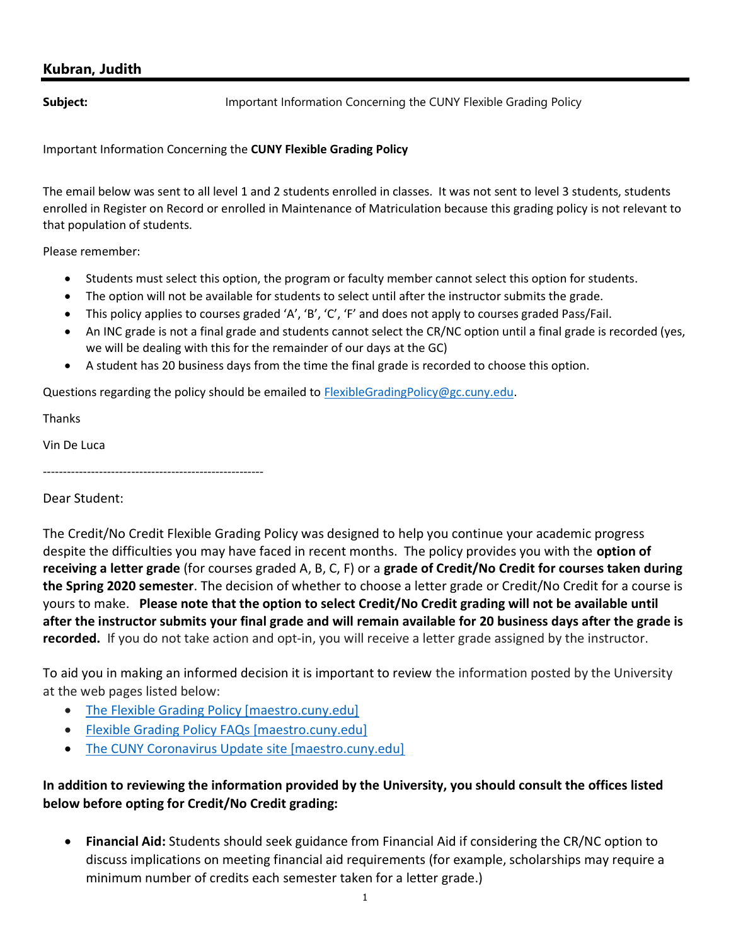# Kubran, Judith

**Subject: Important Information Concerning the CUNY Flexible Grading Policy** 

Important Information Concerning the CUNY Flexible Grading Policy

The email below was sent to all level 1 and 2 students enrolled in classes. It was not sent to level 3 students, students enrolled in Register on Record or enrolled in Maintenance of Matriculation because this grading policy is not relevant to that population of students.

Please remember:

- Students must select this option, the program or faculty member cannot select this option for students.
- The option will not be available for students to select until after the instructor submits the grade.
- This policy applies to courses graded 'A', 'B', 'C', 'F' and does not apply to courses graded Pass/Fail.
- An INC grade is not a final grade and students cannot select the CR/NC option until a final grade is recorded (yes, we will be dealing with this for the remainder of our days at the GC)
- A student has 20 business days from the time the final grade is recorded to choose this option.

Questions regarding the policy should be emailed to FlexibleGradingPolicy@gc.cuny.edu.

Thanks

Vin De Luca

Dear Student:

-------------------------------------------------------

The Credit/No Credit Flexible Grading Policy was designed to help you continue your academic progress despite the difficulties you may have faced in recent months. The policy provides you with the option of receiving a letter grade (for courses graded A, B, C, F) or a grade of Credit/No Credit for courses taken during the Spring 2020 semester. The decision of whether to choose a letter grade or Credit/No Credit for a course is yours to make. Please note that the option to select Credit/No Credit grading will not be available until after the instructor submits your final grade and will remain available for 20 business days after the grade is recorded. If you do not take action and opt-in, you will receive a letter grade assigned by the instructor.

To aid you in making an informed decision it is important to review the information posted by the University at the web pages listed below:

- The Flexible Grading Policy [maestro.cuny.edu]
- Flexible Grading Policy FAQs [maestro.cuny.edu]
- The CUNY Coronavirus Update site [maestro.cuny.edu]

# In addition to reviewing the information provided by the University, you should consult the offices listed below before opting for Credit/No Credit grading:

 Financial Aid: Students should seek guidance from Financial Aid if considering the CR/NC option to discuss implications on meeting financial aid requirements (for example, scholarships may require a minimum number of credits each semester taken for a letter grade.)